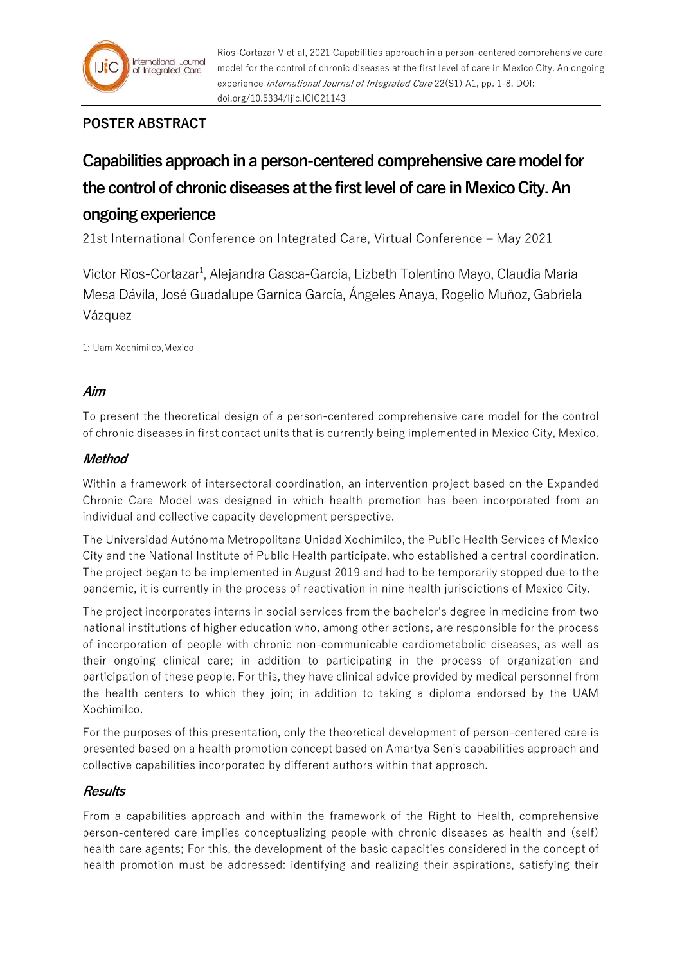

# **POSTER ABSTRACT**

# **Capabilities approach in a person-centeredcomprehensive care model for the control of chronic diseases at the first level of care in Mexico City. An ongoing experience**

21st International Conference on Integrated Care, Virtual Conference – May 2021

Victor Rios-Cortazar<sup>1</sup>, Alejandra Gasca-García, Lizbeth Tolentino Mayo, Claudia María Mesa Dávila, José Guadalupe Garnica García, Ángeles Anaya, Rogelio Muñoz, Gabriela Vázquez

1: Uam Xochimilco,Mexico

## **Aim**

To present the theoretical design of a person-centered comprehensive care model for the control of chronic diseases in first contact units that is currently being implemented in Mexico City, Mexico.

### **Method**

Within a framework of intersectoral coordination, an intervention project based on the Expanded Chronic Care Model was designed in which health promotion has been incorporated from an individual and collective capacity development perspective.

The Universidad Autónoma Metropolitana Unidad Xochimilco, the Public Health Services of Mexico City and the National Institute of Public Health participate, who established a central coordination. The project began to be implemented in August 2019 and had to be temporarily stopped due to the pandemic, it is currently in the process of reactivation in nine health jurisdictions of Mexico City.

The project incorporates interns in social services from the bachelor's degree in medicine from two national institutions of higher education who, among other actions, are responsible for the process of incorporation of people with chronic non-communicable cardiometabolic diseases, as well as their ongoing clinical care; in addition to participating in the process of organization and participation of these people. For this, they have clinical advice provided by medical personnel from the health centers to which they join; in addition to taking a diploma endorsed by the UAM Xochimilco.

For the purposes of this presentation, only the theoretical development of person-centered care is presented based on a health promotion concept based on Amartya Sen's capabilities approach and collective capabilities incorporated by different authors within that approach.

### **Results**

From a capabilities approach and within the framework of the Right to Health, comprehensive person-centered care implies conceptualizing people with chronic diseases as health and (self) health care agents; For this, the development of the basic capacities considered in the concept of health promotion must be addressed: identifying and realizing their aspirations, satisfying their